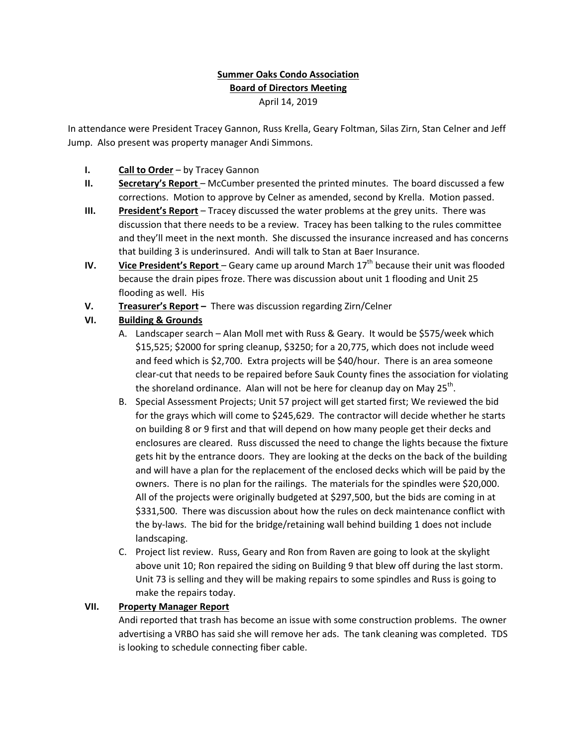# **Summer Oaks Condo Association Board of Directors Meeting** April 14, 2019

In attendance were President Tracey Gannon, Russ Krella, Geary Foltman, Silas Zirn, Stan Celner and Jeff Jump. Also present was property manager Andi Simmons.

- **I. Call to Order** by Tracey Gannon
- **II. Secretary's Report** McCumber presented the printed minutes. The board discussed a few corrections. Motion to approve by Celner as amended, second by Krella. Motion passed.
- **III. President's Report** Tracey discussed the water problems at the grey units. There was discussion that there needs to be a review. Tracey has been talking to the rules committee and they'll meet in the next month. She discussed the insurance increased and has concerns that building 3 is underinsured. Andi will talk to Stan at Baer Insurance.
- **IV. Vice President's Report** Geary came up around March 17th because their unit was flooded because the drain pipes froze. There was discussion about unit 1 flooding and Unit 25 flooding as well. His
- **V. Treasurer's Report –** There was discussion regarding Zirn/Celner

### **VI. Building & Grounds**

- A. Landscaper search Alan Moll met with Russ & Geary. It would be \$575/week which \$15,525; \$2000 for spring cleanup, \$3250; for a 20,775, which does not include weed and feed which is \$2,700. Extra projects will be \$40/hour. There is an area someone clear‐cut that needs to be repaired before Sauk County fines the association for violating the shoreland ordinance. Alan will not be here for cleanup day on May  $25^{th}$ .
- B. Special Assessment Projects; Unit 57 project will get started first; We reviewed the bid for the grays which will come to \$245,629. The contractor will decide whether he starts on building 8 or 9 first and that will depend on how many people get their decks and enclosures are cleared. Russ discussed the need to change the lights because the fixture gets hit by the entrance doors. They are looking at the decks on the back of the building and will have a plan for the replacement of the enclosed decks which will be paid by the owners. There is no plan for the railings. The materials for the spindles were \$20,000. All of the projects were originally budgeted at \$297,500, but the bids are coming in at \$331,500. There was discussion about how the rules on deck maintenance conflict with the by-laws. The bid for the bridge/retaining wall behind building 1 does not include landscaping.
- C. Project list review. Russ, Geary and Ron from Raven are going to look at the skylight above unit 10; Ron repaired the siding on Building 9 that blew off during the last storm. Unit 73 is selling and they will be making repairs to some spindles and Russ is going to make the repairs today.

# **VII. Property Manager Report**

Andi reported that trash has become an issue with some construction problems. The owner advertising a VRBO has said she will remove her ads. The tank cleaning was completed. TDS is looking to schedule connecting fiber cable.